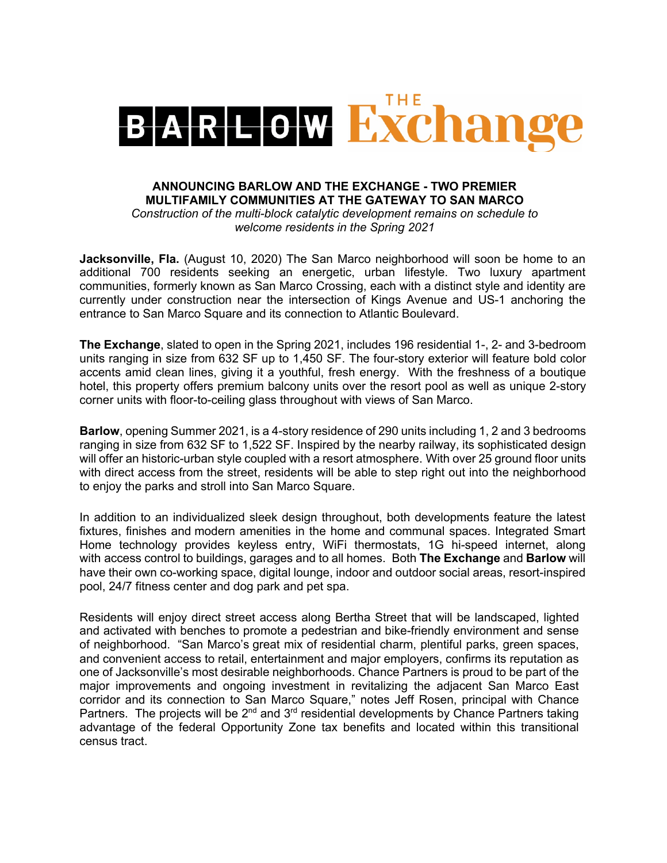

## **ANNOUNCING BARLOW AND THE EXCHANGE - TWO PREMIER MULTIFAMILY COMMUNITIES AT THE GATEWAY TO SAN MARCO**

*Construction of the multi-block catalytic development remains on schedule to welcome residents in the Spring 2021*

**Jacksonville, Fla.** (August 10, 2020) The San Marco neighborhood will soon be home to an additional 700 residents seeking an energetic, urban lifestyle. Two luxury apartment communities, formerly known as San Marco Crossing, each with a distinct style and identity are currently under construction near the intersection of Kings Avenue and US-1 anchoring the entrance to San Marco Square and its connection to Atlantic Boulevard.

**The Exchange**, slated to open in the Spring 2021, includes 196 residential 1-, 2- and 3-bedroom units ranging in size from 632 SF up to 1,450 SF. The four-story exterior will feature bold color accents amid clean lines, giving it a youthful, fresh energy. With the freshness of a boutique hotel, this property offers premium balcony units over the resort pool as well as unique 2-story corner units with floor-to-ceiling glass throughout with views of San Marco.

**Barlow**, opening Summer 2021, is a 4-story residence of 290 units including 1, 2 and 3 bedrooms ranging in size from 632 SF to 1,522 SF. Inspired by the nearby railway, its sophisticated design will offer an historic-urban style coupled with a resort atmosphere. With over 25 ground floor units with direct access from the street, residents will be able to step right out into the neighborhood to enjoy the parks and stroll into San Marco Square.

In addition to an individualized sleek design throughout, both developments feature the latest fixtures, finishes and modern amenities in the home and communal spaces. Integrated Smart Home technology provides keyless entry, WiFi thermostats, 1G hi-speed internet, along with access control to buildings, garages and to all homes. Both **The Exchange** and **Barlow** will have their own co-working space, digital lounge, indoor and outdoor social areas, resort-inspired pool, 24/7 fitness center and dog park and pet spa.

Residents will enjoy direct street access along Bertha Street that will be landscaped, lighted and activated with benches to promote a pedestrian and bike-friendly environment and sense of neighborhood. "San Marco's great mix of residential charm, plentiful parks, green spaces, and convenient access to retail, entertainment and major employers, confirms its reputation as one of Jacksonville's most desirable neighborhoods. Chance Partners is proud to be part of the major improvements and ongoing investment in revitalizing the adjacent San Marco East corridor and its connection to San Marco Square," notes Jeff Rosen, principal with Chance Partners. The projects will be  $2^{nd}$  and  $3^{rd}$  residential developments by Chance Partners taking advantage of the federal Opportunity Zone tax benefits and located within this transitional census tract.